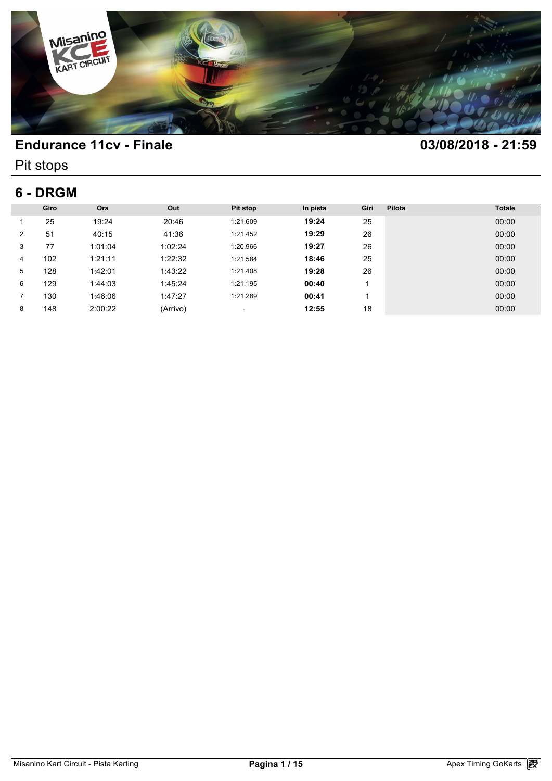

Pit stops

## **6 - DRGM**

| 6 - DRGM       |      |         |          |          |          |      |        |               |  |
|----------------|------|---------|----------|----------|----------|------|--------|---------------|--|
|                | Giro | Ora     | Out      | Pit stop | In pista | Giri | Pilota | <b>Totale</b> |  |
|                | 25   | 19:24   | 20:46    | 1:21.609 | 19:24    | 25   |        | 00:00         |  |
| $\overline{2}$ | 51   | 40:15   | 41:36    | 1:21.452 | 19:29    | 26   |        | 00:00         |  |
| 3              | 77   | 1:01:04 | 1:02:24  | 1:20.966 | 19:27    | 26   |        | 00:00         |  |
| 4              | 102  | 1:21:11 | 1:22:32  | 1:21.584 | 18:46    | 25   |        | 00:00         |  |
| 5              | 128  | 1:42:01 | 1:43:22  | 1:21.408 | 19:28    | 26   |        | 00:00         |  |
| 6              | 129  | 1:44:03 | 1:45:24  | 1:21.195 | 00:40    |      |        | 00:00         |  |
| $\overline{7}$ | 130  | 1:46:06 | 1:47:27  | 1:21.289 | 00:41    |      |        | 00:00         |  |
| 8              | 148  | 2:00:22 | (Arrivo) | $\sim$   | 12:55    | 18   |        | 00:00         |  |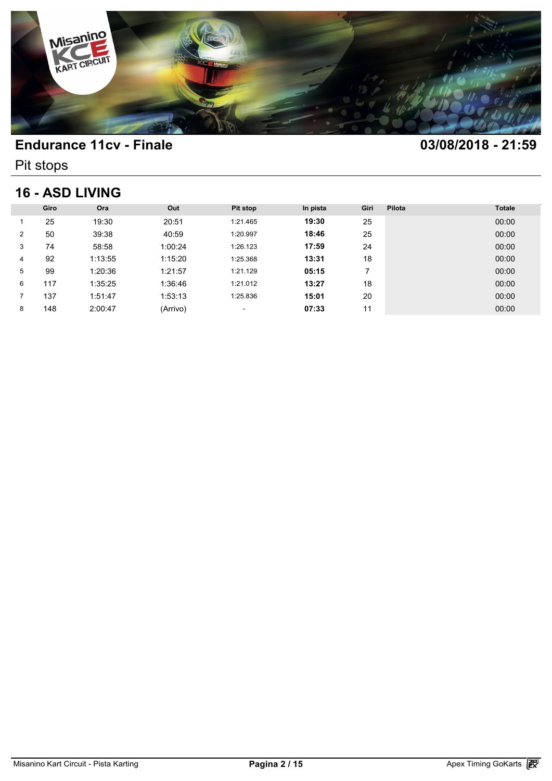

Pit stops

### **16 - ASD LIVING**

| <b>16 - ASD LIVING</b> |      |         |          |          |          |      |        |               |  |
|------------------------|------|---------|----------|----------|----------|------|--------|---------------|--|
|                        | Giro | Ora     | Out      | Pit stop | In pista | Giri | Pilota | <b>Totale</b> |  |
|                        | 25   | 19:30   | 20:51    | 1:21.465 | 19:30    | 25   |        | 00:00         |  |
| 2                      | 50   | 39:38   | 40:59    | 1:20.997 | 18:46    | 25   |        | 00:00         |  |
| 3                      | 74   | 58:58   | 1:00:24  | 1:26.123 | 17:59    | 24   |        | 00:00         |  |
| 4                      | 92   | 1:13:55 | 1:15:20  | 1:25.368 | 13:31    | 18   |        | 00:00         |  |
| 5                      | 99   | 1:20:36 | 1:21:57  | 1:21.129 | 05:15    | 7    |        | 00:00         |  |
| 6                      | 117  | 1:35:25 | 1:36:46  | 1:21.012 | 13:27    | 18   |        | 00:00         |  |
|                        | 137  | 1:51:47 | 1:53:13  | 1:25.836 | 15:01    | 20   |        | 00:00         |  |
| 8                      | 148  | 2:00:47 | (Arrivo) | ٠        | 07:33    | 11   |        | 00:00         |  |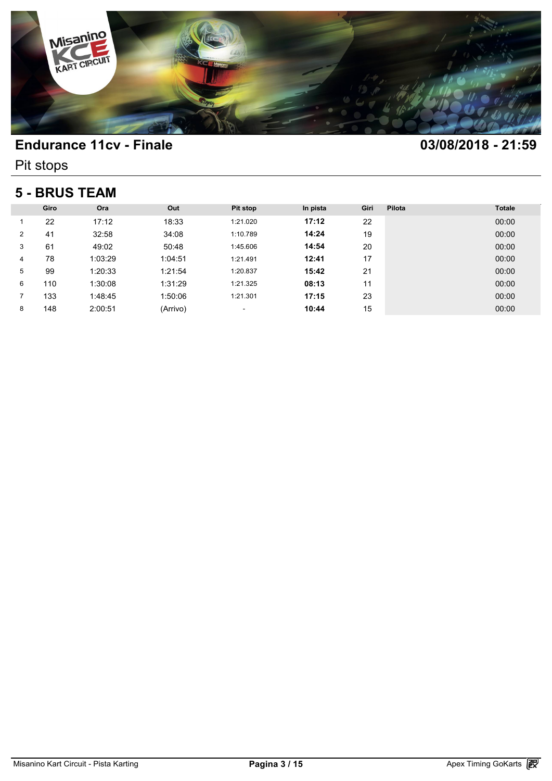

Pit stops

### **5 - BRUS TEAM**

| <b>5 - BRUS TEAM</b> |      |         |          |          |          |      |        |               |  |
|----------------------|------|---------|----------|----------|----------|------|--------|---------------|--|
|                      | Giro | Ora     | Out      | Pit stop | In pista | Giri | Pilota | <b>Totale</b> |  |
|                      | 22   | 17:12   | 18:33    | 1:21.020 | 17:12    | 22   |        | 00:00         |  |
| $\overline{2}$       | 41   | 32:58   | 34:08    | 1:10.789 | 14:24    | 19   |        | 00:00         |  |
| 3                    | 61   | 49:02   | 50:48    | 1:45.606 | 14:54    | 20   |        | 00:00         |  |
| 4                    | 78   | 1:03:29 | 1:04:51  | 1:21.491 | 12:41    | 17   |        | 00:00         |  |
| 5                    | 99   | 1:20:33 | 1:21:54  | 1:20.837 | 15:42    | 21   |        | 00:00         |  |
| 6                    | 110  | 1:30:08 | 1:31:29  | 1:21.325 | 08:13    | 11   |        | 00:00         |  |
|                      | 133  | 1:48:45 | 1:50:06  | 1:21.301 | 17:15    | 23   |        | 00:00         |  |
| 8                    | 148  | 2:00:51 | (Arrivo) | ٠        | 10:44    | 15   |        | 00:00         |  |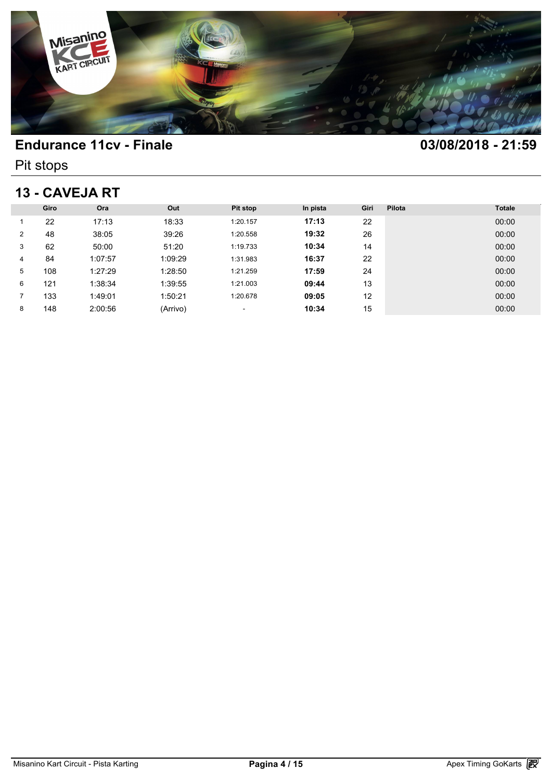

Pit stops

# **13 - CAVEJA RT**

| 13 - CAVEJA RT |      |         |          |          |          |      |        |               |  |
|----------------|------|---------|----------|----------|----------|------|--------|---------------|--|
|                | Giro | Ora     | Out      | Pit stop | In pista | Giri | Pilota | <b>Totale</b> |  |
|                | 22   | 17:13   | 18:33    | 1:20.157 | 17:13    | 22   |        | 00:00         |  |
| 2              | 48   | 38:05   | 39:26    | 1:20.558 | 19:32    | 26   |        | 00:00         |  |
| 3              | 62   | 50:00   | 51:20    | 1:19.733 | 10:34    | 14   |        | 00:00         |  |
| 4              | 84   | 1:07:57 | 1:09:29  | 1:31.983 | 16:37    | 22   |        | 00:00         |  |
| 5              | 108  | 1:27:29 | 1:28:50  | 1:21.259 | 17:59    | 24   |        | 00:00         |  |
| 6              | 121  | 1:38:34 | 1:39:55  | 1:21.003 | 09:44    | 13   |        | 00:00         |  |
|                | 133  | 1:49:01 | 1:50:21  | 1:20.678 | 09:05    | 12   |        | 00:00         |  |
| 8              | 148  | 2:00:56 | (Arrivo) | ٠        | 10:34    | 15   |        | 00:00         |  |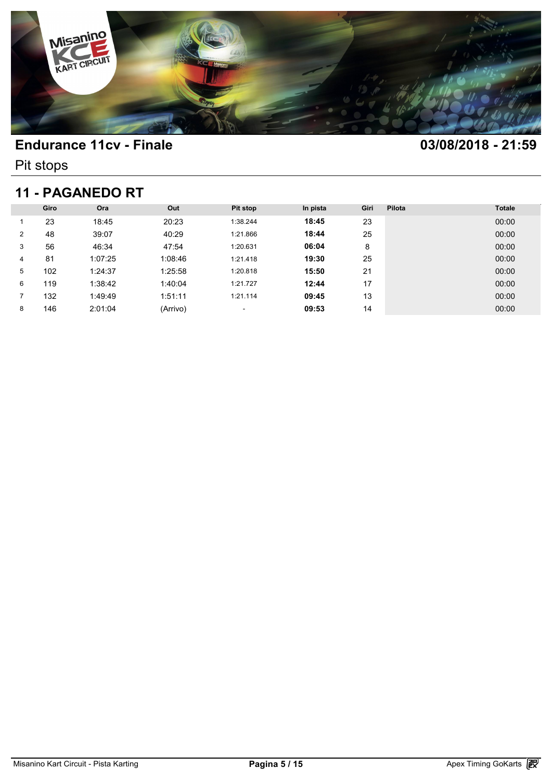

Pit stops

## **11 - PAGANEDO RT**

| <b>11 - PAGANEDO RT</b> |      |         |          |                          |          |      |        |               |  |  |
|-------------------------|------|---------|----------|--------------------------|----------|------|--------|---------------|--|--|
|                         | Giro | Ora     | Out      | <b>Pit stop</b>          | In pista | Giri | Pilota | <b>Totale</b> |  |  |
|                         | 23   | 18:45   | 20:23    | 1:38.244                 | 18:45    | 23   |        | 00:00         |  |  |
| $\overline{2}$          | 48   | 39:07   | 40:29    | 1:21.866                 | 18:44    | 25   |        | 00:00         |  |  |
| 3                       | 56   | 46:34   | 47:54    | 1:20.631                 | 06:04    | 8    |        | 00:00         |  |  |
| 4                       | 81   | 1:07:25 | 1:08:46  | 1:21.418                 | 19:30    | 25   |        | 00:00         |  |  |
| 5                       | 102  | 1:24:37 | 1:25:58  | 1:20.818                 | 15:50    | 21   |        | 00:00         |  |  |
| 6                       | 119  | 1:38:42 | 1:40:04  | 1:21.727                 | 12:44    | 17   |        | 00:00         |  |  |
| 7                       | 132  | 1:49:49 | 1:51:11  | 1:21.114                 | 09:45    | 13   |        | 00:00         |  |  |
| 8                       | 146  | 2:01:04 | (Arrivo) | $\overline{\phantom{a}}$ | 09:53    | 14   |        | 00:00         |  |  |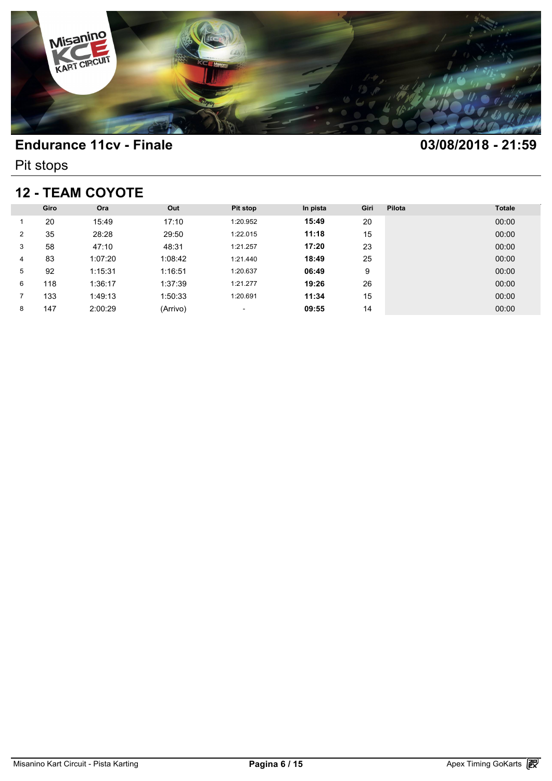

Pit stops

## **12 - TEAM COYOTE**

| <b>12 - TEAM COYOTE</b> |      |         |          |                          |          |      |        |               |  |  |
|-------------------------|------|---------|----------|--------------------------|----------|------|--------|---------------|--|--|
|                         | Giro | Ora     | Out      | <b>Pit stop</b>          | In pista | Giri | Pilota | <b>Totale</b> |  |  |
|                         | 20   | 15:49   | 17:10    | 1:20.952                 | 15:49    | 20   |        | 00:00         |  |  |
| 2                       | 35   | 28:28   | 29:50    | 1:22.015                 | 11:18    | 15   |        | 00:00         |  |  |
| 3                       | 58   | 47:10   | 48:31    | 1:21.257                 | 17:20    | 23   |        | 00:00         |  |  |
| 4                       | 83   | 1:07:20 | 1:08:42  | 1:21.440                 | 18:49    | 25   |        | 00:00         |  |  |
| 5                       | 92   | 1:15:31 | 1:16:51  | 1:20.637                 | 06:49    | 9    |        | 00:00         |  |  |
| 6                       | 118  | 1:36:17 | 1:37:39  | 1:21.277                 | 19:26    | 26   |        | 00:00         |  |  |
|                         | 133  | 1:49:13 | 1:50:33  | 1:20.691                 | 11:34    | 15   |        | 00:00         |  |  |
| 8                       | 147  | 2:00:29 | (Arrivo) | $\overline{\phantom{a}}$ | 09:55    | 14   |        | 00:00         |  |  |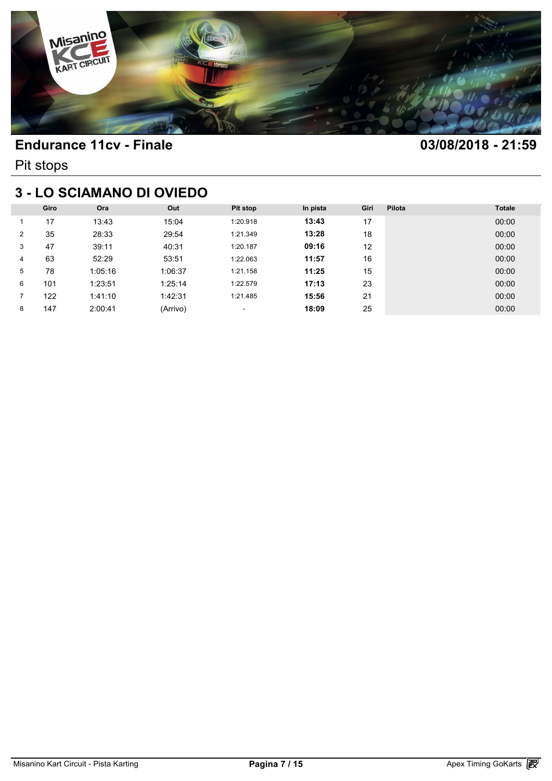

Pit stops

# **3 - LO SCIAMANO DI OVIEDO**

| <b>3 - LO SCIAMANO DI OVIEDO</b> |      |         |          |                          |          |      |        |               |  |  |
|----------------------------------|------|---------|----------|--------------------------|----------|------|--------|---------------|--|--|
|                                  | Giro | Ora     | Out      | Pit stop                 | In pista | Giri | Pilota | <b>Totale</b> |  |  |
|                                  | 17   | 13:43   | 15:04    | 1:20.918                 | 13:43    | 17   |        | 00:00         |  |  |
| 2                                | 35   | 28:33   | 29:54    | 1:21.349                 | 13:28    | 18   |        | 00:00         |  |  |
| 3                                | 47   | 39:11   | 40:31    | 1:20.187                 | 09:16    | 12   |        | 00:00         |  |  |
| 4                                | 63   | 52:29   | 53:51    | 1:22.063                 | 11:57    | 16   |        | 00:00         |  |  |
| 5                                | 78   | 1:05:16 | 1:06:37  | 1:21.158                 | 11:25    | 15   |        | 00:00         |  |  |
| 6                                | 101  | 1:23:51 | 1:25:14  | 1:22.579                 | 17:13    | 23   |        | 00:00         |  |  |
|                                  | 122  | 1:41:10 | 1:42:31  | 1:21.485                 | 15:56    | 21   |        | 00:00         |  |  |
| 8                                | 147  | 2:00:41 | (Arrivo) | $\overline{\phantom{a}}$ | 18:09    | 25   |        | 00:00         |  |  |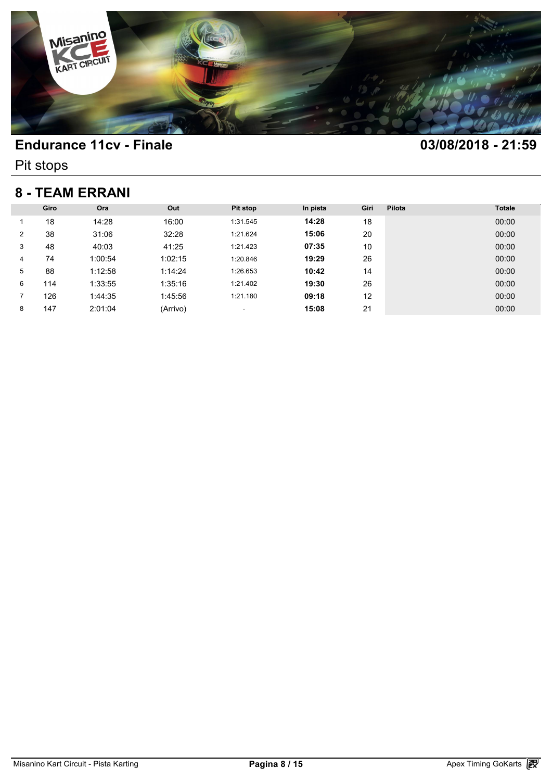

Pit stops

### **8 - TEAM ERRANI**

| <b>8 - TEAM ERRANI</b> |      |         |          |          |          |      |        |               |  |  |
|------------------------|------|---------|----------|----------|----------|------|--------|---------------|--|--|
|                        | Giro | Ora     | Out      | Pit stop | In pista | Giri | Pilota | <b>Totale</b> |  |  |
|                        | 18   | 14:28   | 16:00    | 1:31.545 | 14:28    | 18   |        | 00:00         |  |  |
| $\overline{2}$         | 38   | 31:06   | 32:28    | 1:21.624 | 15:06    | 20   |        | 00:00         |  |  |
| 3                      | 48   | 40:03   | 41:25    | 1:21.423 | 07:35    | 10   |        | 00:00         |  |  |
| 4                      | 74   | 1:00:54 | 1:02:15  | 1:20.846 | 19:29    | 26   |        | 00:00         |  |  |
| 5                      | 88   | 1:12:58 | 1:14:24  | 1:26.653 | 10:42    | 14   |        | 00:00         |  |  |
| 6                      | 114  | 1:33:55 | 1:35:16  | 1:21.402 | 19:30    | 26   |        | 00:00         |  |  |
|                        | 126  | 1:44:35 | 1:45:56  | 1:21.180 | 09:18    | 12   |        | 00:00         |  |  |
| 8                      | 147  | 2:01:04 | (Arrivo) | ٠        | 15:08    | 21   |        | 00:00         |  |  |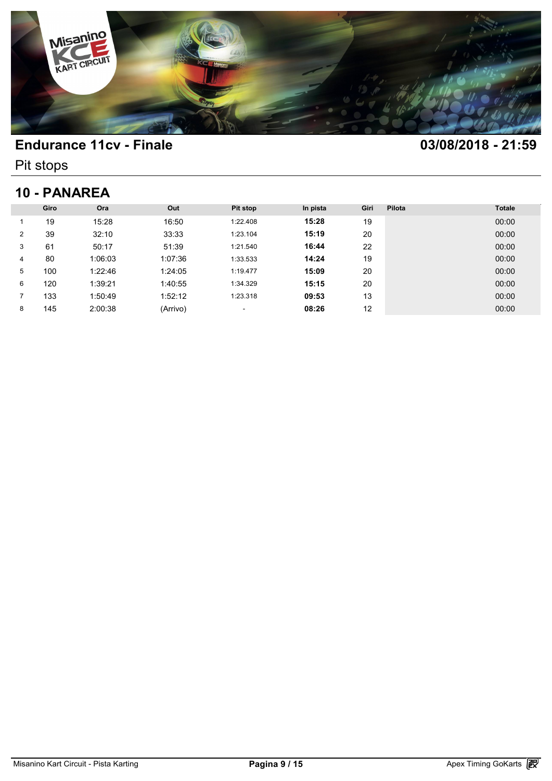

Pit stops

## **10 - PANAREA**

| 10 - PANAREA |      |         |          |          |          |      |        |               |  |
|--------------|------|---------|----------|----------|----------|------|--------|---------------|--|
|              | Giro | Ora     | Out      | Pit stop | In pista | Giri | Pilota | <b>Totale</b> |  |
|              | 19   | 15:28   | 16:50    | 1:22.408 | 15:28    | 19   |        | 00:00         |  |
| 2            | 39   | 32:10   | 33:33    | 1:23.104 | 15:19    | 20   |        | 00:00         |  |
| 3            | 61   | 50:17   | 51:39    | 1:21.540 | 16:44    | 22   |        | 00:00         |  |
| 4            | 80   | 1:06:03 | 1:07:36  | 1:33.533 | 14:24    | 19   |        | 00:00         |  |
| 5            | 100  | 1:22:46 | 1:24:05  | 1:19.477 | 15:09    | 20   |        | 00:00         |  |
| 6            | 120  | 1:39:21 | 1:40:55  | 1:34.329 | 15:15    | 20   |        | 00:00         |  |
|              | 133  | 1:50:49 | 1:52:12  | 1:23.318 | 09:53    | 13   |        | 00:00         |  |
| 8            | 145  | 2:00:38 | (Arrivo) | ٠        | 08:26    | 12   |        | 00:00         |  |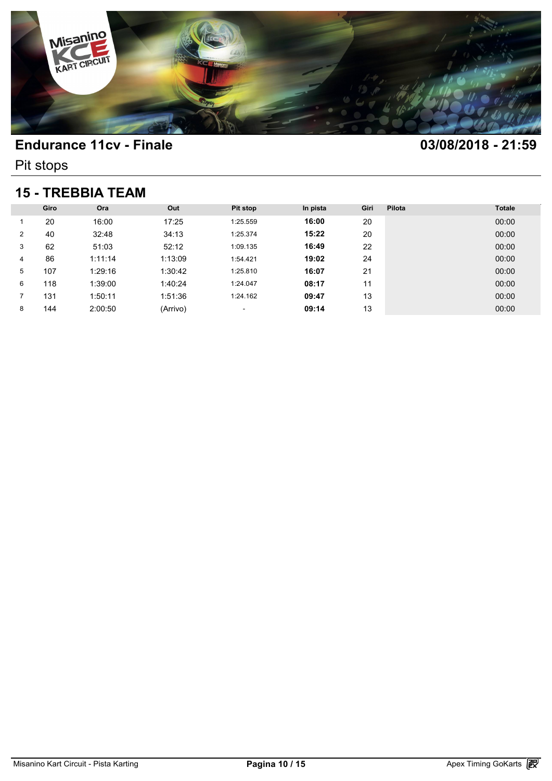

Pit stops

### **15 - TREBBIA TEAM**

| <b>15 - TREBBIA TEAM</b> |      |         |          |                          |          |      |        |               |  |  |
|--------------------------|------|---------|----------|--------------------------|----------|------|--------|---------------|--|--|
|                          | Giro | Ora     | Out      | <b>Pit stop</b>          | In pista | Giri | Pilota | <b>Totale</b> |  |  |
|                          | 20   | 16:00   | 17:25    | 1:25.559                 | 16:00    | 20   |        | 00:00         |  |  |
| $\overline{2}$           | 40   | 32:48   | 34:13    | 1:25.374                 | 15:22    | 20   |        | 00:00         |  |  |
| 3                        | 62   | 51:03   | 52:12    | 1:09.135                 | 16:49    | 22   |        | 00:00         |  |  |
| 4                        | 86   | 1:11:14 | 1:13:09  | 1:54.421                 | 19:02    | 24   |        | 00:00         |  |  |
| 5                        | 107  | 1:29:16 | 1:30:42  | 1:25.810                 | 16:07    | 21   |        | 00:00         |  |  |
| 6                        | 118  | 1:39:00 | 1:40:24  | 1:24.047                 | 08:17    | 11   |        | 00:00         |  |  |
| 7                        | 131  | 1:50:11 | 1:51:36  | 1:24.162                 | 09:47    | 13   |        | 00:00         |  |  |
| 8                        | 144  | 2:00:50 | (Arrivo) | $\overline{\phantom{a}}$ | 09:14    | 13   |        | 00:00         |  |  |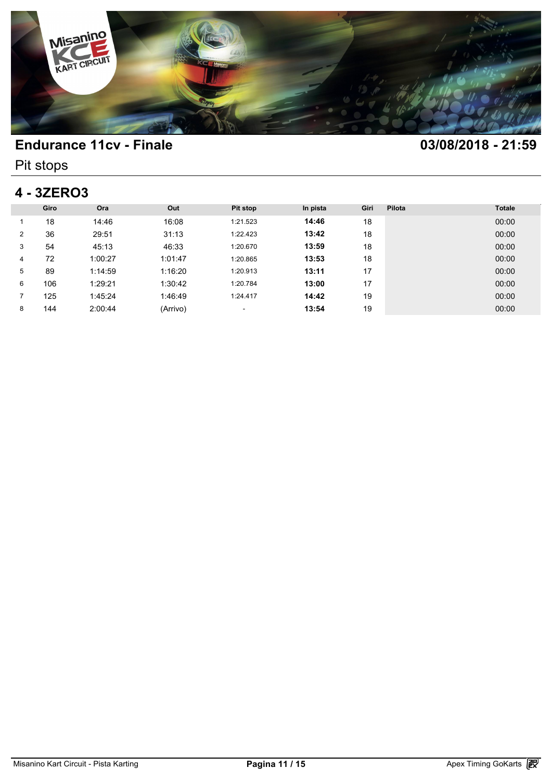

Pit stops

# **4 - 3ZERO3**

|                | Giro | Ora     | Out      | Pit stop | In pista | Giri | Pilota | <b>Totale</b> |
|----------------|------|---------|----------|----------|----------|------|--------|---------------|
|                | 18   | 14:46   | 16:08    | 1:21.523 | 14:46    | 18   |        | 00:00         |
| $\overline{2}$ | 36   | 29:51   | 31:13    | 1:22.423 | 13:42    | 18   |        | 00:00         |
| 3              | 54   | 45:13   | 46:33    | 1:20.670 | 13:59    | 18   |        | 00:00         |
| 4              | 72   | 1:00:27 | 1:01:47  | 1:20.865 | 13:53    | 18   |        | 00:00         |
| 5              | 89   | 1:14:59 | 1:16:20  | 1:20.913 | 13:11    | 17   |        | 00:00         |
| 6              | 106  | 1:29:21 | 1:30:42  | 1:20.784 | 13:00    | 17   |        | 00:00         |
|                | 125  | 1:45:24 | 1:46:49  | 1:24.417 | 14:42    | 19   |        | 00:00         |
| 8              | 144  | 2:00:44 | (Arrivo) | ٠        | 13:54    | 19   |        | 00:00         |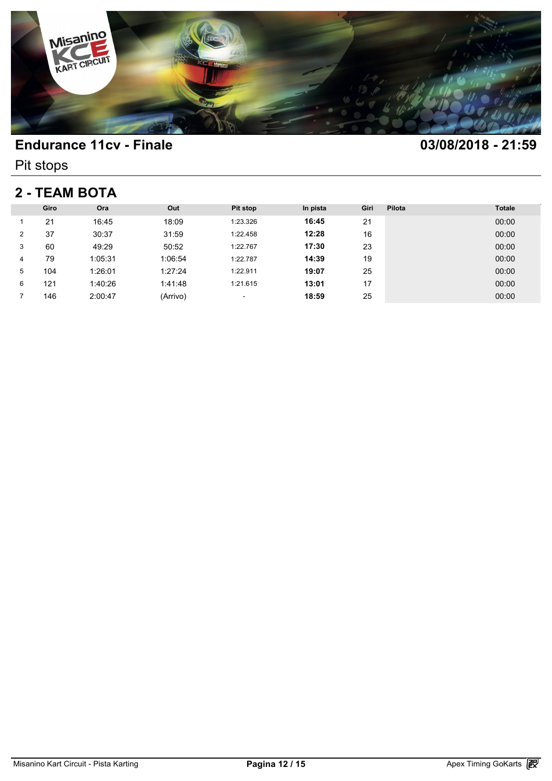

Pit stops

## **2 - TEAM BOTA**

| 2 - TEAM BOTA  |      |         |          |          |          |      |        |               |  |
|----------------|------|---------|----------|----------|----------|------|--------|---------------|--|
|                | Giro | Ora     | Out      | Pit stop | In pista | Giri | Pilota | <b>Totale</b> |  |
|                | 21   | 16:45   | 18:09    | 1:23.326 | 16:45    | 21   |        | 00:00         |  |
| $\overline{2}$ | 37   | 30:37   | 31:59    | 1:22.458 | 12:28    | 16   |        | 00:00         |  |
| 3              | 60   | 49:29   | 50:52    | 1:22.767 | 17:30    | 23   |        | 00:00         |  |
| 4              | 79   | 1:05:31 | 1:06:54  | 1:22.787 | 14:39    | 19   |        | 00:00         |  |
| 5              | 104  | 1:26:01 | 1:27:24  | 1:22.911 | 19:07    | 25   |        | 00:00         |  |
| 6              | 121  | 1:40:26 | 1:41:48  | 1:21.615 | 13:01    | 17   |        | 00:00         |  |
|                | 146  | 2:00:47 | (Arrivo) | ٠        | 18:59    | 25   |        | 00:00         |  |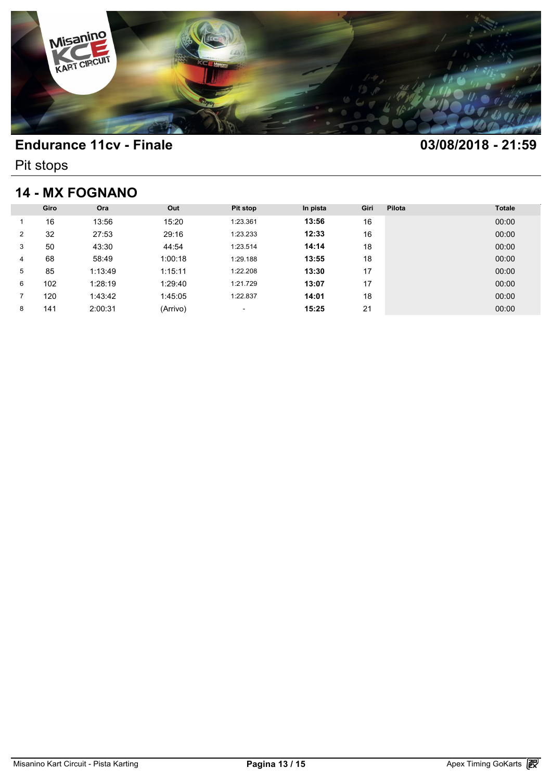

Pit stops

## **14 - MX FOGNANO**

| <b>14 - MX FOGNANO</b> |      |         |          |                          |          |      |        |               |
|------------------------|------|---------|----------|--------------------------|----------|------|--------|---------------|
|                        | Giro | Ora     | Out      | <b>Pit stop</b>          | In pista | Giri | Pilota | <b>Totale</b> |
|                        | 16   | 13:56   | 15:20    | 1:23.361                 | 13:56    | 16   |        | 00:00         |
| 2                      | 32   | 27:53   | 29:16    | 1:23.233                 | 12:33    | 16   |        | 00:00         |
| 3                      | 50   | 43:30   | 44:54    | 1:23.514                 | 14:14    | 18   |        | 00:00         |
| 4                      | 68   | 58:49   | 1:00:18  | 1:29.188                 | 13:55    | 18   |        | 00:00         |
| 5                      | 85   | 1:13:49 | 1:15:11  | 1:22.208                 | 13:30    | 17   |        | 00:00         |
| 6                      | 102  | 1:28:19 | 1:29:40  | 1:21.729                 | 13:07    | 17   |        | 00:00         |
| 7                      | 120  | 1:43:42 | 1:45:05  | 1:22.837                 | 14:01    | 18   |        | 00:00         |
| 8                      | 141  | 2:00:31 | (Arrivo) | $\overline{\phantom{a}}$ | 15:25    | 21   |        | 00:00         |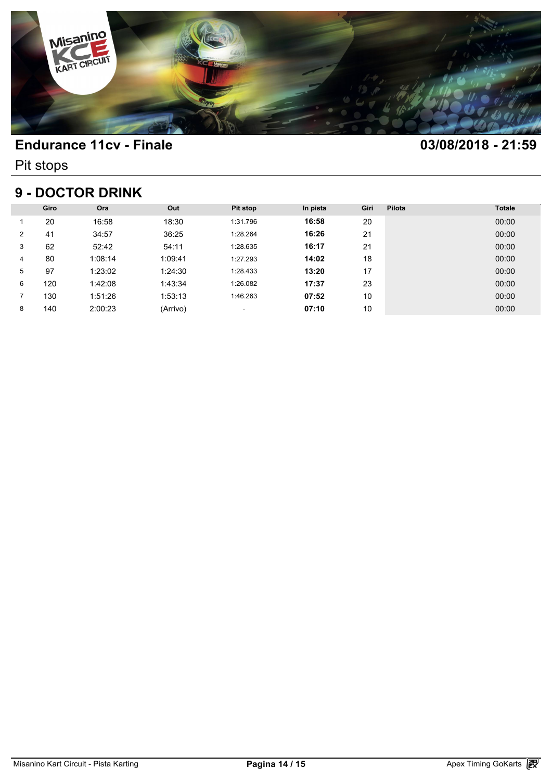

Pit stops

### **9 - DOCTOR DRINK**

| <b>9 - DOCTOR DRINK</b> |      |         |          |          |          |      |        |               |
|-------------------------|------|---------|----------|----------|----------|------|--------|---------------|
|                         | Giro | Ora     | Out      | Pit stop | In pista | Giri | Pilota | <b>Totale</b> |
|                         | 20   | 16:58   | 18:30    | 1:31.796 | 16:58    | 20   |        | 00:00         |
| $\overline{2}$          | 41   | 34:57   | 36:25    | 1:28.264 | 16:26    | 21   |        | 00:00         |
| 3                       | 62   | 52:42   | 54:11    | 1:28.635 | 16:17    | 21   |        | 00:00         |
| 4                       | 80   | 1:08:14 | 1:09:41  | 1:27.293 | 14:02    | 18   |        | 00:00         |
| 5                       | 97   | 1:23:02 | 1:24:30  | 1:28.433 | 13:20    | 17   |        | 00:00         |
| 6                       | 120  | 1:42:08 | 1:43:34  | 1:26.082 | 17:37    | 23   |        | 00:00         |
|                         | 130  | 1:51:26 | 1:53:13  | 1:46.263 | 07:52    | 10   |        | 00:00         |
| 8                       | 140  | 2:00:23 | (Arrivo) | ٠        | 07:10    | 10   |        | 00:00         |